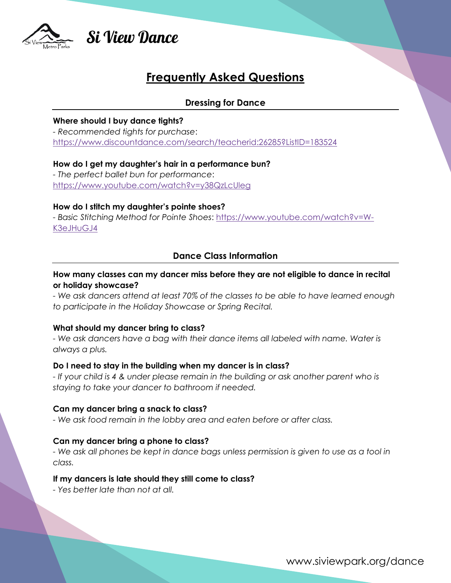

# **Si View Dance**

# **Frequently Asked Questions**

# **Dressing for Dance**

#### **Where should I buy dance tights?**

*- Recommended tights for purchase*: <https://www.discountdance.com/search/teacherid:26285?ListID=183524>

## **How do I get my daughter's hair in a performance bun?**

*- The perfect ballet bun for performance*: <https://www.youtube.com/watch?v=y38QzLcUleg>

#### **How do I stitch my daughter's pointe shoes?**

*- Basic Stitching Method for Pointe Shoes*: [https://www.youtube.com/watch?v=W-](https://www.youtube.com/watch?v=W-K3eJHuGJ4)[K3eJHuGJ4](https://www.youtube.com/watch?v=W-K3eJHuGJ4)

# **Dance Class Information**

## **How many classes can my dancer miss before they are not eligible to dance in recital or holiday showcase?**

*- We ask dancers attend at least 70% of the classes to be able to have learned enough to participate in the Holiday Showcase or Spring Recital.*

# **What should my dancer bring to class?**

*- We ask dancers have a bag with their dance items all labeled with name. Water is always a plus.* 

# **Do I need to stay in the building when my dancer is in class?**

*- If your child is 4 & under please remain in the building or ask another parent who is staying to take your dancer to bathroom if needed.*

# **Can my dancer bring a snack to class?**

*- We ask food remain in the lobby area and eaten before or after class.*

# **Can my dancer bring a phone to class?**

*- We ask all phones be kept in dance bags unless permission is given to use as a tool in class.* 

# **If my dancers is late should they still come to class?**

*- Yes better late than not at all.* 

www.siviewpark.org/dance